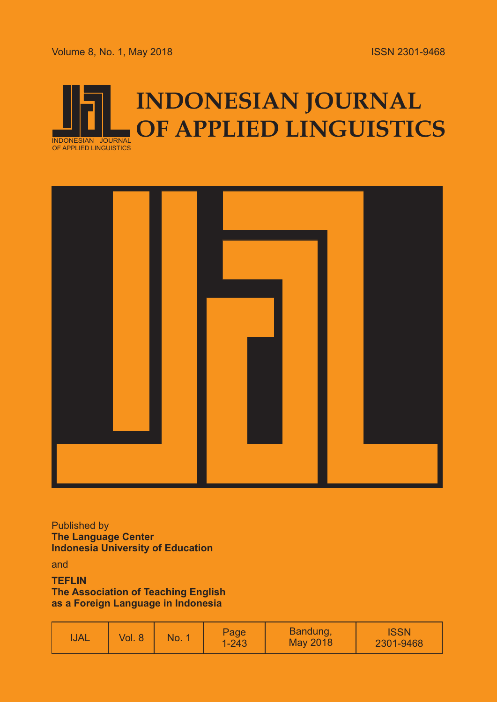Volume 8, No. 1, May 2018





Published by **The Language Center Indonesia University of Education**

and

**TEFLIN The Association of Teaching English as a Foreign Language in Indonesia**

| <b>TJAL</b> | 8<br>Vol. I | NO. | Page<br>$1 - 243$ | Bandung,<br>May 2018 | <b>ISSN</b><br>2301-9468 |
|-------------|-------------|-----|-------------------|----------------------|--------------------------|
|-------------|-------------|-----|-------------------|----------------------|--------------------------|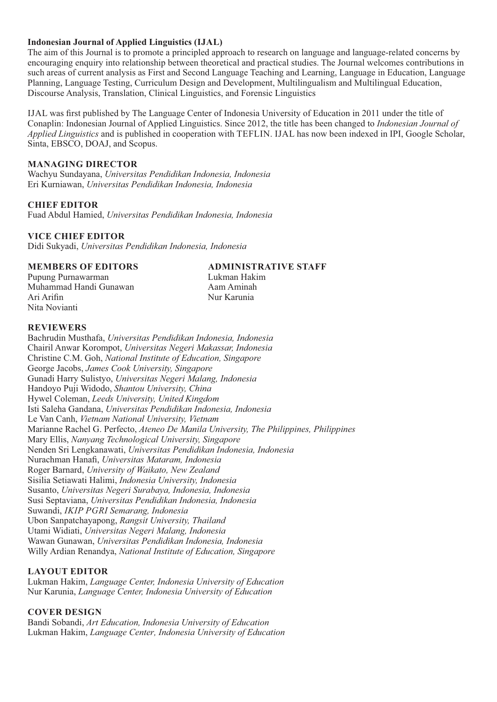#### **Indonesian Journal of Applied Linguistics (IJAL)**

The aim of this Journal is to promote a principled approach to research on language and language-related concerns by encouraging enquiry into relationship between theoretical and practical studies. The Journal welcomes contributions in such areas of current analysis as First and Second Language Teaching and Learning, Language in Education, Language Planning, Language Testing, Curriculum Design and Development, Multilingualism and Multilingual Education, Discourse Analysis, Translation, Clinical Linguistics, and Forensic Linguistics

IJAL was first published by The Language Center of Indonesia University of Education in 2011 under the title of Conaplin: Indonesian Journal of Applied Linguistics. Since 2012, the title has been changed to *Indonesian Journal of Applied Linguistics* and is published in cooperation with TEFLIN. IJAL has now been indexed in IPI, Google Scholar, Sinta, EBSCO, DOAJ, and Scopus.

### **MANAGING DIRECTOR**

Wachyu Sundayana, *Universitas Pendidikan Indonesia, Indonesia* Eri Kurniawan, *Universitas Pendidikan Indonesia, Indonesia*

#### **CHIEF EDITOR**

Fuad Abdul Hamied, *Universitas Pendidikan Indonesia, Indonesia*

#### **VICE CHIEF EDITOR**

Didi Sukyadi, *Universitas Pendidikan Indonesia, Indonesia*

Pupung Purnawarman *Lukman Hakim*<br>Muhammad Handi Gunawan *Lukman Amerikan* Muhammad Handi Gunawan Ari Arifin Nur Karunia Nita Novianti

**MEMBERS OF EDITORS ADMINISTRATIVE STAFF**

#### **REVIEWERS**

Bachrudin Musthafa, *Universitas Pendidikan Indonesia, Indonesia* Chairil Anwar Korompot, *Universitas Negeri Makassar, Indonesia* Christine C.M. Goh, *National Institute of Education, Singapore* George Jacobs, *James Cook University, Singapore*  Gunadi Harry Sulistyo, *Universitas Negeri Malang, Indonesia* Handoyo Puji Widodo, *Shantou University, China*  Hywel Coleman, *Leeds University, United Kingdom* Isti Saleha Gandana, *Universitas Pendidikan Indonesia, Indonesia* Le Van Canh, *Vietnam National University, Vietnam* Marianne Rachel G. Perfecto, *Ateneo De Manila University, The Philippines, Philippines* Mary Ellis, *Nanyang Technological University, Singapore* Nenden Sri Lengkanawati, *Universitas Pendidikan Indonesia, Indonesia* Nurachman Hanafi, *Universitas Mataram, Indonesia* Roger Barnard, *University of Waikato, New Zealand* Sisilia Setiawati Halimi, *Indonesia University, Indonesia* Susanto, *Universitas Negeri Surabaya, Indonesia, Indonesia* Susi Septaviana, *Universitas Pendidikan Indonesia, Indonesia* Suwandi, *IKIP PGRI Semarang, Indonesia* Ubon Sanpatchayapong, *Rangsit University, Thailand* Utami Widiati, *Universitas Negeri Malang, Indonesia* Wawan Gunawan, *Universitas Pendidikan Indonesia, Indonesia* Willy Ardian Renandya, *National Institute of Education, Singapore*

#### **LAYOUT EDITOR**

Lukman Hakim, *Language Center, Indonesia University of Education* Nur Karunia, *Language Center, Indonesia University of Education*

#### **COVER DESIGN**

Bandi Sobandi, *Art Education, Indonesia University of Education* Lukman Hakim, *Language Center, Indonesia University of Education*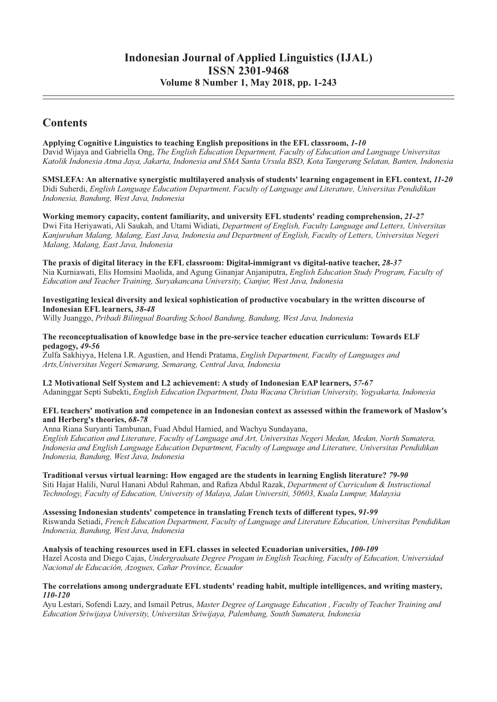# **Indonesian Journal of Applied Linguistics (IJAL) ISSN 2301-9468**

**Volume 8 Number 1, May 2018, pp. 1-243**

## **Contents**

#### **Applying Cognitive Linguistics to teaching English prepositions in the EFL classroom,** *1-10*

David Wijaya and Gabriella Ong, *The English Education Department, Faculty of Education and Language Universitas Katolik Indonesia Atma Jaya, Jakarta, Indonesia and SMA Santa Ursula BSD, Kota Tangerang Selatan, Banten, Indonesia*

**SMSLEFA: An alternative synergistic multilayered analysis of students' learning engagement in EFL context,** *11-20*  Didi Suherdi, *English Language Education Department, Faculty of Language and Literature, Universitas Pendidikan Indonesia, Bandung, West Java, Indonesia*

**Working memory capacity, content familiarity, and university EFL students' reading comprehension,** *21-27* Dwi Fita Heriyawati, Ali Saukah, and Utami Widiati, *Department of English, Faculty Language and Letters, Universitas Kanjuruhan Malang, Malang, East Java, Indonesia and Department of English, Faculty of Letters, Universitas Negeri Malang, Malang, East Java, Indonesia*

#### **The praxis of digital literacy in the EFL classroom: Digital-immigrant vs digital-native teacher,** *28-37*

Nia Kurniawati, Elis Homsini Maolida, and Agung Ginanjar Anjaniputra, *English Education Study Program, Faculty of Education and Teacher Training, Suryakancana University, Cianjur, West Java, Indonesia*

#### **Investigating lexical diversity and lexical sophistication of productive vocabulary in the written discourse of Indonesian EFL learners,** *38-48*

Willy Juanggo, *Pribadi Bilingual Boarding School Bandung, Bandung, West Java, Indonesia*

#### **The reconceptualisation of knowledge base in the pre-service teacher education curriculum: Towards ELF pedagogy,** *49-56*

Zulfa Sakhiyya, Helena I.R. Agustien, and Hendi Pratama, *English Department, Faculty of Languages and Arts,Universitas Negeri Semarang, Semarang, Central Java, Indonesia*

#### **L2 Motivational Self System and L2 achievement: A study of Indonesian EAP learners,** *57-67*

Adaninggar Septi Subekti, *English Education Department, Duta Wacana Christian University, Yogyakarta, Indonesia*

#### **EFL teachers' motivation and competence in an Indonesian context as assessed within the framework of Maslow's and Herberg's theories,** *68-78*

Anna Riana Suryanti Tambunan, Fuad Abdul Hamied, and Wachyu Sundayana, *English Education and Literature, Faculty of Language and Art, Universitas Negeri Medan, Medan, North Sumatera, Indonesia and English Language Education Department, Faculty of Language and Literature, Universitas Pendidikan Indonesia, Bandung, West Java, Indonesia*

#### **Traditional versus virtual learning: How engaged are the students in learning English literature?** *79-90*  Siti Hajar Halili, Nurul Hanani Abdul Rahman, and Rafiza Abdul Razak, *Department of Curriculum & Instructional Technology, Faculty of Education, University of Malaya, Jalan Universiti, 50603, Kuala Lumpur, Malaysia*

#### **Assessing Indonesian students' competence in translating French texts of different types,** *91-99*

Riswanda Setiadi, *French Education Department, Faculty of Language and Literature Education, Universitas Pendidikan Indonesia, Bandung, West Java, Indonesia*

#### **Analysis of teaching resources used in EFL classes in selected Ecuadorian universities,** *100-109*

Hazel Acosta and Diego Cajas, *Undergraduate Degree Progam in English Teaching, Faculty of Education, Universidad Nacional de Educación, Azogues, Cañar Province, Ecuador*

#### **The correlations among undergraduate EFL students' reading habit, multiple intelligences, and writing mastery,**  *110-120*

Ayu Lestari, Sofendi Lazy, and Ismail Petrus, *Master Degree of Language Education , Faculty of Teacher Training and Education Sriwijaya University, Universitas Sriwijaya, Palembang, South Sumatera, Indonesia*